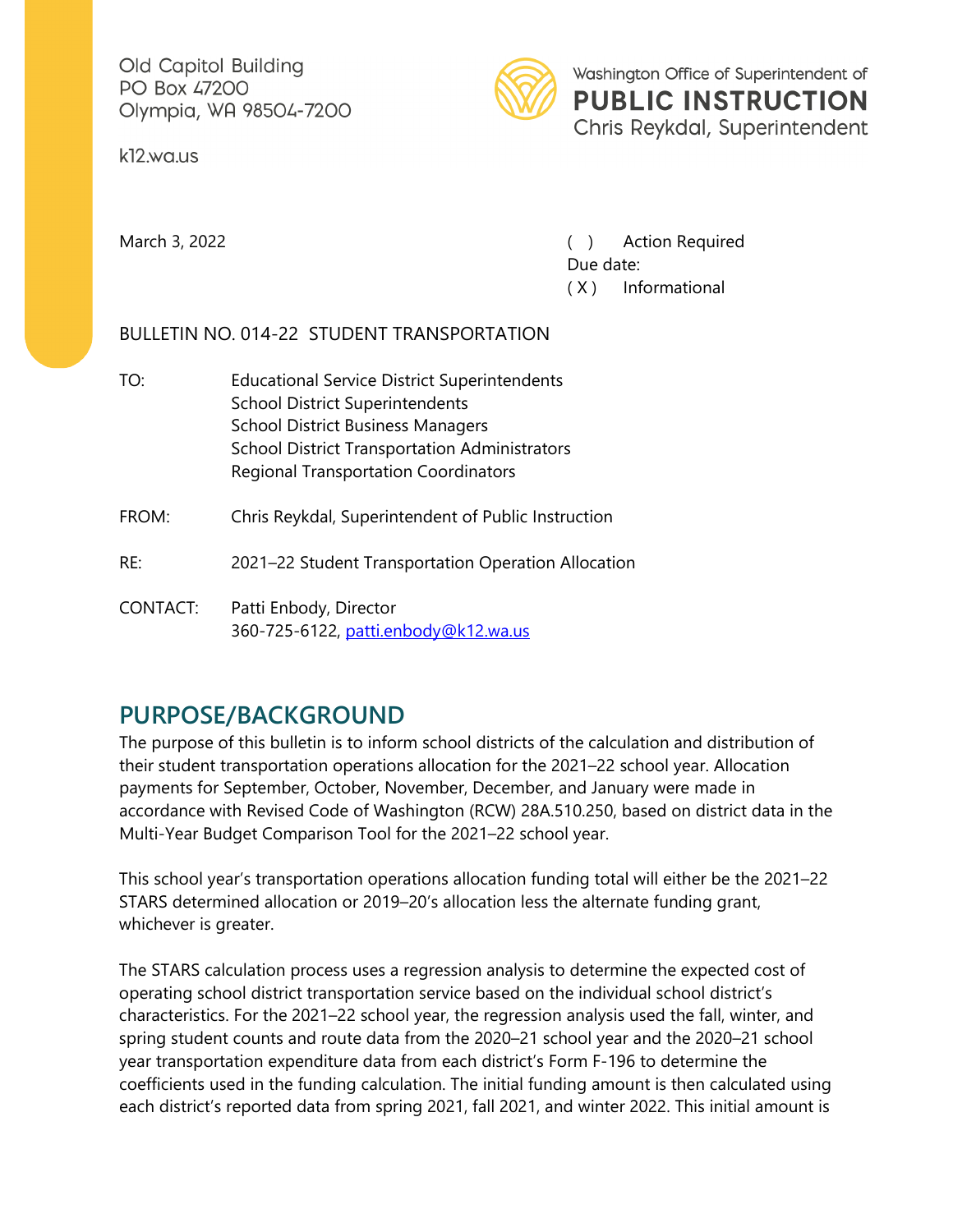Old Capitol Building PO Box 47200 Olympia, WA 98504-7200

k12.wa.us



March 3, 2022 **March 3, 2022 (a)** Action Required Due date: ( X ) Informational

## BULLETIN NO. 014-22 STUDENT TRANSPORTATION

TO: Educational Service District Superintendents School District Superintendents School District Business Managers School District Transportation Administrators Regional Transportation Coordinators

FROM: Chris Reykdal, Superintendent of Public Instruction

RE: 2021–22 Student Transportation Operation Allocation

CONTACT: Patti Enbody, Director 360-725-6122, [patti.enbody@k12.wa.us](mailto:patti.enbody@k12.wa.us)

## **PURPOSE/BACKGROUND**

The purpose of this bulletin is to inform school districts of the calculation and distribution of their student transportation operations allocation for the 2021–22 school year. Allocation payments for September, October, November, December, and January were made in accordance with Revised Code of Washington (RCW) 28A.510.250, based on district data in the Multi-Year Budget Comparison Tool for the 2021–22 school year.

This school year's transportation operations allocation funding total will either be the 2021–22 STARS determined allocation or 2019–20's allocation less the alternate funding grant, whichever is greater.

The STARS calculation process uses a regression analysis to determine the expected cost of operating school district transportation service based on the individual school district's characteristics. For the 2021–22 school year, the regression analysis used the fall, winter, and spring student counts and route data from the 2020–21 school year and the 2020–21 school year transportation expenditure data from each district's Form F-196 to determine the coefficients used in the funding calculation. The initial funding amount is then calculated using each district's reported data from spring 2021, fall 2021, and winter 2022. This initial amount is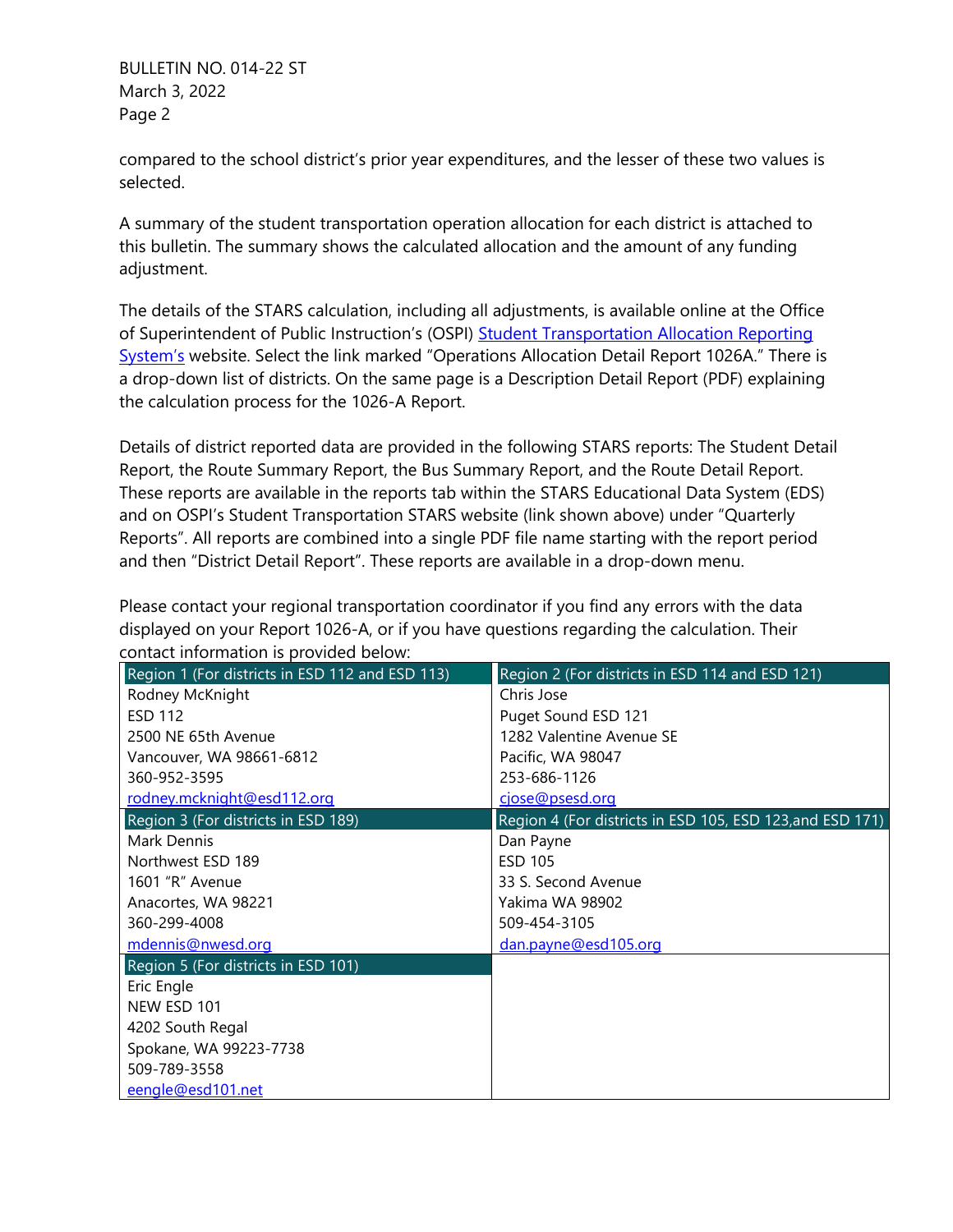BULLETIN NO. 014-22 ST March 3, 2022 Page 2

compared to the school district's prior year expenditures, and the lesser of these two values is selected.

A summary of the student transportation operation allocation for each district is attached to this bulletin. The summary shows the calculated allocation and the amount of any funding adjustment.

The details of the STARS calculation, including all adjustments, is available online at the Office of Superintendent of Public Instruction's (OSPI) Student Transportation Allocation Reporting [System's](https://www.k12.wa.us/policy-funding/student-transportation/student-transportation-allocation-reporting-system-stars) website. Select the link marked "Operations Allocation Detail Report 1026A." There is a drop-down list of districts. On the same page is a Description Detail Report (PDF) explaining the calculation process for the 1026-A Report.

Details of district reported data are provided in the following STARS reports: The Student Detail Report, the Route Summary Report, the Bus Summary Report, and the Route Detail Report. These reports are available in the reports tab within the STARS Educational Data System (EDS) and on OSPI's Student Transportation STARS website (link shown above) under "Quarterly Reports". All reports are combined into a single PDF file name starting with the report period and then "District Detail Report". These reports are available in a drop-down menu.

Please contact your regional transportation coordinator if you find any errors with the data displayed on your Report 1026-A, or if you have questions regarding the calculation. Their contact information is provided below:

| Region 1 (For districts in ESD 112 and ESD 113) | Region 2 (For districts in ESD 114 and ESD 121)           |
|-------------------------------------------------|-----------------------------------------------------------|
| Rodney McKnight                                 | Chris Jose                                                |
| <b>ESD 112</b>                                  | Puget Sound ESD 121                                       |
| 2500 NE 65th Avenue                             | 1282 Valentine Avenue SE                                  |
| Vancouver, WA 98661-6812                        | Pacific, WA 98047                                         |
| 360-952-3595                                    | 253-686-1126                                              |
| rodney.mcknight@esd112.org                      | cjose@psesd.org                                           |
| Region 3 (For districts in ESD 189)             | Region 4 (For districts in ESD 105, ESD 123, and ESD 171) |
| Mark Dennis                                     | Dan Payne                                                 |
| Northwest ESD 189                               | <b>ESD 105</b>                                            |
| 1601 "R" Avenue                                 | 33 S. Second Avenue                                       |
| Anacortes, WA 98221                             | Yakima WA 98902                                           |
| 360-299-4008                                    | 509-454-3105                                              |
| mdennis@nwesd.org                               | dan.payne@esd105.org                                      |
| Region 5 (For districts in ESD 101)             |                                                           |
| Eric Engle                                      |                                                           |
| NEW ESD 101                                     |                                                           |
| 4202 South Regal                                |                                                           |
| Spokane, WA 99223-7738                          |                                                           |
| 509-789-3558                                    |                                                           |
| eengle@esd101.net                               |                                                           |